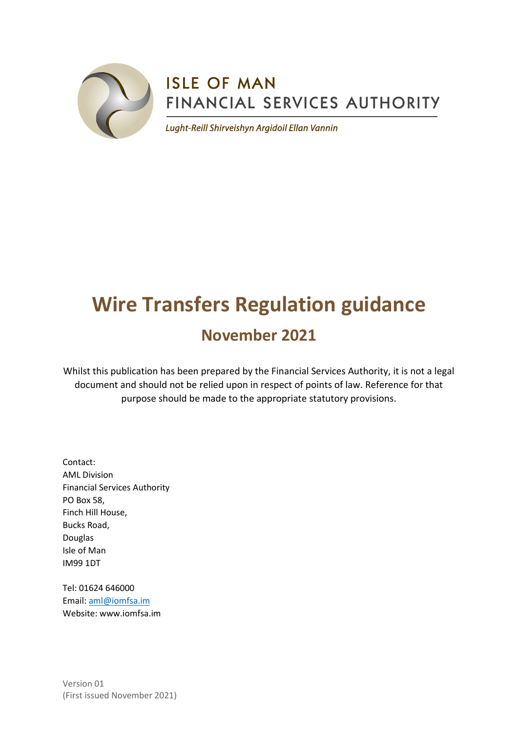

# **ISLE OF MAN** FINANCIAL SERVICES AUTHORITY

Lught-Reill Shirveishyn Argidoil Ellan Vannin

# **Wire Transfers Regulation guidance**

# **November 2021**

Whilst this publication has been prepared by the Financial Services Authority, it is not a legal document and should not be relied upon in respect of points of law. Reference for that purpose should be made to the appropriate statutory provisions.

Contact: AML Division Financial Services Authority PO Box 58, Finch Hill House, Bucks Road, Douglas Isle of Man IM99 1DT

Tel: 01624 646000 Email: [aml@iomfsa.im](mailto:aml@iomfsa.im) Website: www.iomfsa.im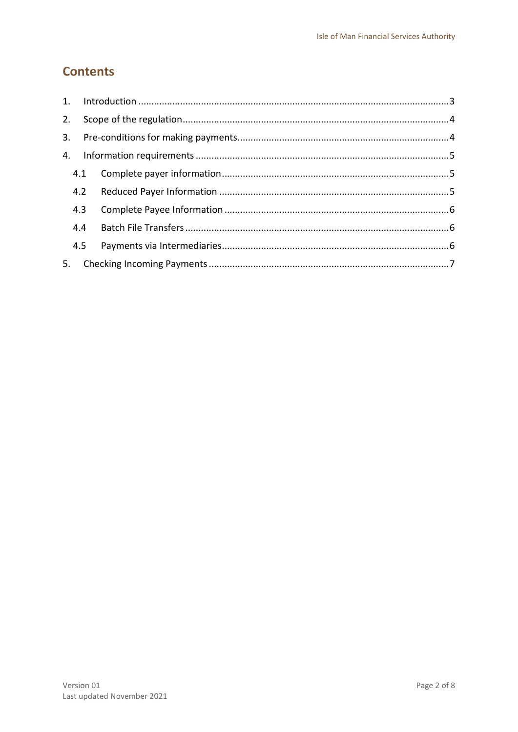## **Contents**

| 2. |     |  |  |  |
|----|-----|--|--|--|
| 3. |     |  |  |  |
| 4. |     |  |  |  |
|    |     |  |  |  |
|    | 4.2 |  |  |  |
|    | 4.3 |  |  |  |
|    | 4.4 |  |  |  |
|    |     |  |  |  |
| 5. |     |  |  |  |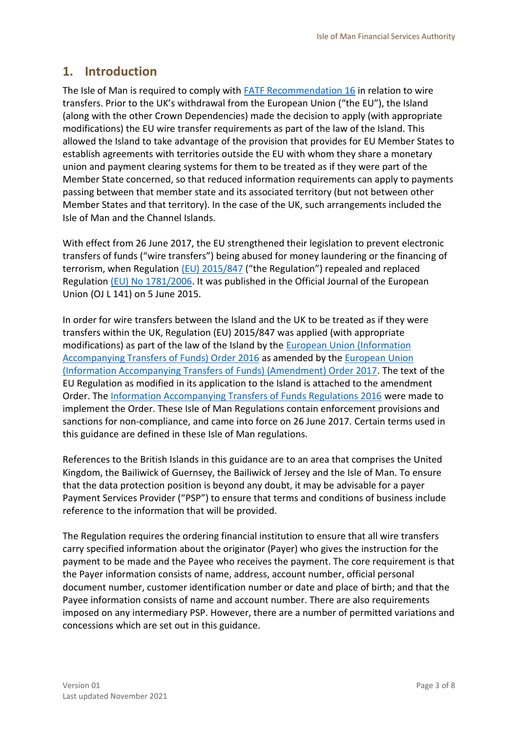### <span id="page-2-0"></span>**1. Introduction**

The Isle of Man is required to comply with [FATF Recommendation 16](https://www.fatf-gafi.org/) in relation to wire transfers. Prior to the UK's withdrawal from the European Union ("the EU"), the Island (along with the other Crown Dependencies) made the decision to apply (with appropriate modifications) the EU wire transfer requirements as part of the law of the Island. This allowed the Island to take advantage of the provision that provides for EU Member States to establish agreements with territories outside the EU with whom they share a monetary union and payment clearing systems for them to be treated as if they were part of the Member State concerned, so that reduced information requirements can apply to payments passing between that member state and its associated territory (but not between other Member States and that territory). In the case of the UK, such arrangements included the Isle of Man and the Channel Islands.

With effect from 26 June 2017, the EU strengthened their legislation to prevent electronic transfers of funds ("wire transfers") being abused for money laundering or the financing of terrorism, when Regulation [\(EU\) 2015/847](https://eur-lex.europa.eu/legal-content/EN/TXT/?uri=celex%3A32015R0847) ("the Regulation") repealed and replaced Regulation [\(EU\) No 1781/2006.](https://eur-lex.europa.eu/legal-content/en/ALL/?uri=CELEX%3A32006R1781) It was published in the Official Journal of the European Union (OJ L 141) on 5 June 2015.

In order for wire transfers between the Island and the UK to be treated as if they were transfers within the UK, Regulation (EU) 2015/847 was applied (with appropriate modifications) as part of the law of the Island by the [European Union \(Information](https://www.tynwald.org.im/links/tls/SD/2016a/2016-SD-0349.pdf)  Accompanying [Transfers of Funds\) Order 2016](https://www.tynwald.org.im/links/tls/SD/2016a/2016-SD-0349.pdf) as amended by the [European Union](https://www.tynwald.org.im/business/opqp/sittings/Tynwald%2020162018/2017-SD-0182.pdf)  [\(Information Accompanying Transfers of Funds\) \(Amendment\) Order 2017.](https://www.tynwald.org.im/business/opqp/sittings/Tynwald%2020162018/2017-SD-0182.pdf) The text of the EU Regulation as modified in its application to the Island is attached to the amendment Order. The [Information Accompanying Transfers of Funds Regulations 2016](https://www.tynwald.org.im/links/tls/SD/2016a/2016-SD-0350.pdf) were made to implement the Order. These Isle of Man Regulations contain enforcement provisions and sanctions for non-compliance, and came into force on 26 June 2017. Certain terms used in this guidance are defined in these Isle of Man regulations.

References to the British Islands in this guidance are to an area that comprises the United Kingdom, the Bailiwick of Guernsey, the Bailiwick of Jersey and the Isle of Man. To ensure that the data protection position is beyond any doubt, it may be advisable for a payer Payment Services Provider ("PSP") to ensure that terms and conditions of business include reference to the information that will be provided.

The Regulation requires the ordering financial institution to ensure that all wire transfers carry specified information about the originator (Payer) who gives the instruction for the payment to be made and the Payee who receives the payment. The core requirement is that the Payer information consists of name, address, account number, official personal document number, customer identification number or date and place of birth; and that the Payee information consists of name and account number. There are also requirements imposed on any intermediary PSP. However, there are a number of permitted variations and concessions which are set out in this guidance.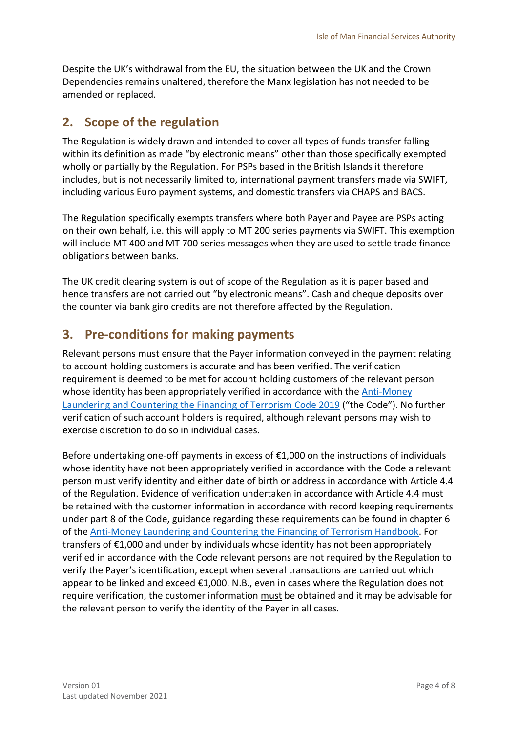Despite the UK's withdrawal from the EU, the situation between the UK and the Crown Dependencies remains unaltered, therefore the Manx legislation has not needed to be amended or replaced.

## <span id="page-3-0"></span>**2. Scope of the regulation**

The Regulation is widely drawn and intended to cover all types of funds transfer falling within its definition as made "by electronic means" other than those specifically exempted wholly or partially by the Regulation. For PSPs based in the British Islands it therefore includes, but is not necessarily limited to, international payment transfers made via SWIFT, including various Euro payment systems, and domestic transfers via CHAPS and BACS.

The Regulation specifically exempts transfers where both Payer and Payee are PSPs acting on their own behalf, i.e. this will apply to MT 200 series payments via SWIFT. This exemption will include MT 400 and MT 700 series messages when they are used to settle trade finance obligations between banks.

The UK credit clearing system is out of scope of the Regulation as it is paper based and hence transfers are not carried out "by electronic means". Cash and cheque deposits over the counter via bank giro credits are not therefore affected by the Regulation.

# <span id="page-3-1"></span>**3. Pre-conditions for making payments**

Relevant persons must ensure that the Payer information conveyed in the payment relating to account holding customers is accurate and has been verified. The verification requirement is deemed to be met for account holding customers of the relevant person whose identity has been appropriately verified in accordance with th[e Anti-Money](https://www.iomfsa.im/amlcft/amlcft-requirements-and-guidance/)  [Laundering and Countering the Financing of Terrorism Code](https://www.iomfsa.im/amlcft/amlcft-requirements-and-guidance/) 2019 ("the Code"). No further verification of such account holders is required, although relevant persons may wish to exercise discretion to do so in individual cases.

Before undertaking one-off payments in excess of €1,000 on the instructions of individuals whose identity have not been appropriately verified in accordance with the Code a relevant person must verify identity and either date of birth or address in accordance with Article 4.4 of the Regulation. Evidence of verification undertaken in accordance with Article 4.4 must be retained with the customer information in accordance with record keeping requirements under part 8 of the Code, guidance regarding these requirements can be found in chapter 6 of th[e Anti-Money Laundering and Countering the Financing of Terrorism Handbook.](https://www.iomfsa.im/amlcft/amlcft-requirements-and-guidance/) For transfers of €1,000 and under by individuals whose identity has not been appropriately verified in accordance with the Code relevant persons are not required by the Regulation to verify the Payer's identification, except when several transactions are carried out which appear to be linked and exceed €1,000. N.B., even in cases where the Regulation does not require verification, the customer information must be obtained and it may be advisable for the relevant person to verify the identity of the Payer in all cases.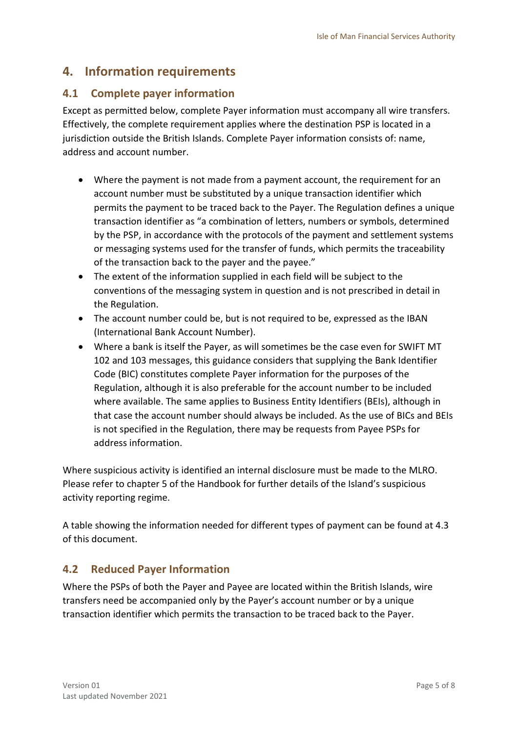## <span id="page-4-0"></span>**4. Information requirements**

#### <span id="page-4-1"></span>**4.1 Complete payer information**

Except as permitted below, complete Payer information must accompany all wire transfers. Effectively, the complete requirement applies where the destination PSP is located in a jurisdiction outside the British Islands. Complete Payer information consists of: name, address and account number.

- Where the payment is not made from a payment account, the requirement for an account number must be substituted by a unique transaction identifier which permits the payment to be traced back to the Payer. The Regulation defines a unique transaction identifier as "a combination of letters, numbers or symbols, determined by the PSP, in accordance with the protocols of the payment and settlement systems or messaging systems used for the transfer of funds, which permits the traceability of the transaction back to the payer and the payee."
- The extent of the information supplied in each field will be subject to the conventions of the messaging system in question and is not prescribed in detail in the Regulation.
- The account number could be, but is not required to be, expressed as the IBAN (International Bank Account Number).
- Where a bank is itself the Payer, as will sometimes be the case even for SWIFT MT 102 and 103 messages, this guidance considers that supplying the Bank Identifier Code (BIC) constitutes complete Payer information for the purposes of the Regulation, although it is also preferable for the account number to be included where available. The same applies to Business Entity Identifiers (BEIs), although in that case the account number should always be included. As the use of BICs and BEIs is not specified in the Regulation, there may be requests from Payee PSPs for address information.

Where suspicious activity is identified an internal disclosure must be made to the MLRO. Please refer to chapter 5 of the Handbook for further details of the Island's suspicious activity reporting regime.

A table showing the information needed for different types of payment can be found at 4.3 of this document.

#### <span id="page-4-2"></span>**4.2 Reduced Payer Information**

Where the PSPs of both the Payer and Payee are located within the British Islands, wire transfers need be accompanied only by the Payer's account number or by a unique transaction identifier which permits the transaction to be traced back to the Payer.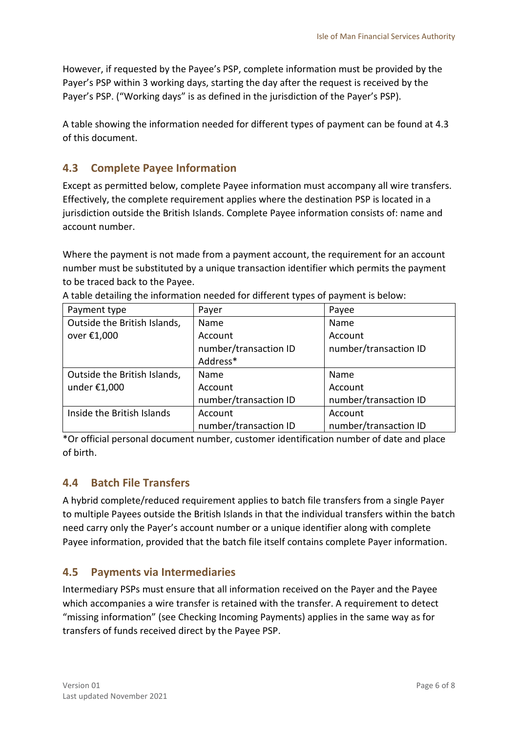However, if requested by the Payee's PSP, complete information must be provided by the Payer's PSP within 3 working days, starting the day after the request is received by the Payer's PSP. ("Working days" is as defined in the jurisdiction of the Payer's PSP).

A table showing the information needed for different types of payment can be found at 4.3 of this document.

#### <span id="page-5-0"></span>**4.3 Complete Payee Information**

Except as permitted below, complete Payee information must accompany all wire transfers. Effectively, the complete requirement applies where the destination PSP is located in a jurisdiction outside the British Islands. Complete Payee information consists of: name and account number.

Where the payment is not made from a payment account, the requirement for an account number must be substituted by a unique transaction identifier which permits the payment to be traced back to the Payee.

| Payment type                 | Payer                 | Payee                 |
|------------------------------|-----------------------|-----------------------|
| Outside the British Islands, | Name                  | Name                  |
| over €1,000                  | Account               | Account               |
|                              | number/transaction ID | number/transaction ID |
|                              | Address*              |                       |
| Outside the British Islands, | Name                  | Name                  |
| under $£1,000$               | Account               | Account               |
|                              | number/transaction ID | number/transaction ID |
| Inside the British Islands   | Account               | Account               |
|                              | number/transaction ID | number/transaction ID |

A table detailing the information needed for different types of payment is below:

\*Or official personal document number, customer identification number of date and place of birth.

#### <span id="page-5-1"></span>**4.4 Batch File Transfers**

A hybrid complete/reduced requirement applies to batch file transfers from a single Payer to multiple Payees outside the British Islands in that the individual transfers within the batch need carry only the Payer's account number or a unique identifier along with complete Payee information, provided that the batch file itself contains complete Payer information.

#### <span id="page-5-2"></span>**4.5 Payments via Intermediaries**

Intermediary PSPs must ensure that all information received on the Payer and the Payee which accompanies a wire transfer is retained with the transfer. A requirement to detect "missing information" (see Checking Incoming Payments) applies in the same way as for transfers of funds received direct by the Payee PSP.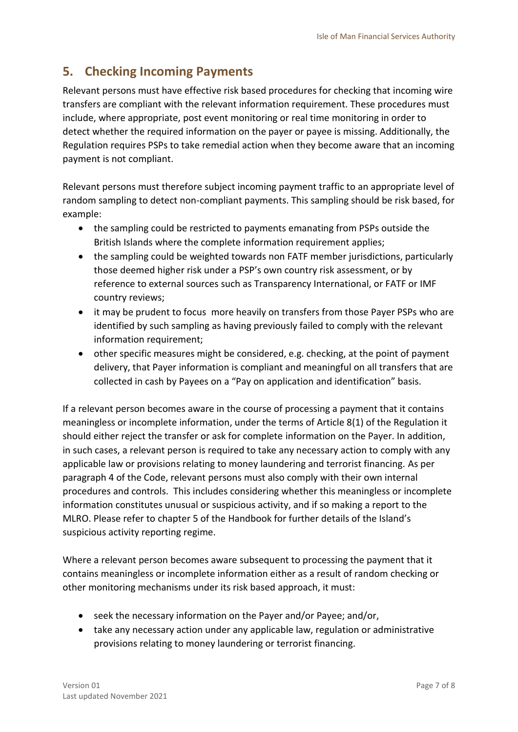# <span id="page-6-0"></span>**5. Checking Incoming Payments**

Relevant persons must have effective risk based procedures for checking that incoming wire transfers are compliant with the relevant information requirement. These procedures must include, where appropriate, post event monitoring or real time monitoring in order to detect whether the required information on the payer or payee is missing. Additionally, the Regulation requires PSPs to take remedial action when they become aware that an incoming payment is not compliant.

Relevant persons must therefore subject incoming payment traffic to an appropriate level of random sampling to detect non-compliant payments. This sampling should be risk based, for example:

- the sampling could be restricted to payments emanating from PSPs outside the British Islands where the complete information requirement applies;
- the sampling could be weighted towards non FATF member jurisdictions, particularly those deemed higher risk under a PSP's own country risk assessment, or by reference to external sources such as Transparency International, or FATF or IMF country reviews;
- it may be prudent to focus more heavily on transfers from those Payer PSPs who are identified by such sampling as having previously failed to comply with the relevant information requirement;
- other specific measures might be considered, e.g. checking, at the point of payment delivery, that Payer information is compliant and meaningful on all transfers that are collected in cash by Payees on a "Pay on application and identification" basis.

If a relevant person becomes aware in the course of processing a payment that it contains meaningless or incomplete information, under the terms of Article 8(1) of the Regulation it should either reject the transfer or ask for complete information on the Payer. In addition, in such cases, a relevant person is required to take any necessary action to comply with any applicable law or provisions relating to money laundering and terrorist financing. As per paragraph 4 of the Code, relevant persons must also comply with their own internal procedures and controls. This includes considering whether this meaningless or incomplete information constitutes unusual or suspicious activity, and if so making a report to the MLRO. Please refer to chapter 5 of the Handbook for further details of the Island's suspicious activity reporting regime.

Where a relevant person becomes aware subsequent to processing the payment that it contains meaningless or incomplete information either as a result of random checking or other monitoring mechanisms under its risk based approach, it must:

- seek the necessary information on the Payer and/or Payee; and/or,
- take any necessary action under any applicable law, regulation or administrative provisions relating to money laundering or terrorist financing.